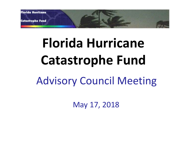

# **Florida Hurricane Catastrophe Fund**

# Advisory Council Meeting

May 17, 2018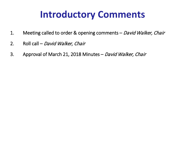# **Introductory Comments**

- 1. Meeting called to order & opening comments David Walker, Chair
- 2. Roll call David Walker, Chair
- 3. Approval of March 21, 2018 Minutes David Walker, Chair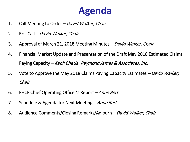## **Agenda**

- 1. Call Meeting to Order David Walker, Chair
- 2. Roll Call David Walker, Chair
- 3. Approval of March 21, 2018 Meeting Minutes David Walker, Chair
- 4. Financial Market Update and Presentation of the Draft May 2018 Estimated Claims Paying Capacity – Kapil Bhatia, Raymond James & Associates, Inc.
- 5. Vote to Approve the May 2018 Claims Paying Capacity Estimates David Walker, Chair
- 6. FHCF Chief Operating Officer's Report Anne Bert
- 7. Schedule & Agenda for Next Meeting Anne Bert
- 8. Audience Comments/Closing Remarks/Adjourn David Walker, Chair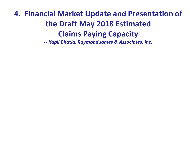### **4. Financial Market Update and Presentation of the Draft May 2018 Estimated Claims Paying Capacity**

*-- Kapil Bhatia, Raymond James & Associates, Inc.*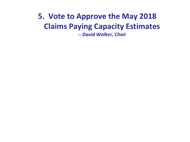### **5. Vote to Approve the May 2018 Claims Paying Capacity Estimates**

*-- David Walker, Chair*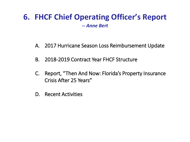# **6. FHCF Chief Operating Officer's Report --** *Anne Bert*

- A. 2017 Hurricane Season Loss Reimbursement Update
- B. 2018-2019 Contract Year FHCF Structure
- C. Report, "Then And Now: Florida's Property Insurance Crisis After 25 Years"
- D. Recent Activities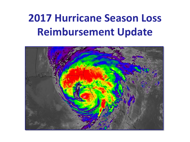# **2017 Hurricane Season Loss Reimbursement Update**

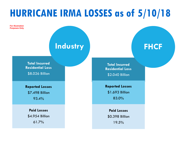# **HURRICANE IRMA LOSSES as of 5/10/18**

**For Illustration Purposes Only**

### **Industry The FHCF**

**Total Incurred Residential Loss**  \$8.026 Billion

**Reported Losses**  \$7.498 Billion 93.4%

**Paid Losses**  \$4.954 Billion 61.7%

**Total Incurred Residential Loss**  \$2.040 Billion

**Reported Losses**  \$1.693 Billion 83.0%

**Paid Losses**  \$0.398 Billion 19.5%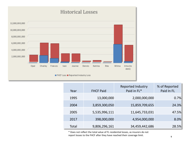

| Year  | <b>FHCF Paid</b> | <b>Reported Industry</b><br>Paid in FL* | % of Reported<br>Paid In FL |
|-------|------------------|-----------------------------------------|-----------------------------|
| 1995  | 13,000,000       | 2,000,000,000                           | 0.7%                        |
| 2004  | 3,859,300,050    | 15,859,709,655                          | 24.3%                       |
| 2005  | 5,535,996,111    | 11,645,733,031                          | 47.5%                       |
| 2017  | 398,000,000      | 4,954,000,000                           | 8.0%                        |
| Total | 9,806,296,161    | 34,459,442,686                          | 28.5%                       |

\* Does not reflect the total value of FL residential losses, as insurers do not report losses to the FHCF after they have reached their coverage limit.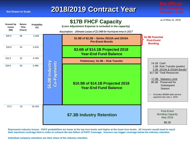

**Represents industry losses. FHCF probabilities are lower at the top loss levels and higher at the lower loss levels. All insurers would need to reach their maximum coverage limit in order to exhaust the last billion of FHCF Coverage. Insurers can trigger coverage below the industry retention.**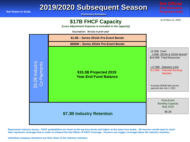#### **2019/2020 Subsequent Season**

**Preliminary Estimates**

#### **\$17B FHCF Capacity**

as of May 15, 2018

**(Loss Adjustment Expense is included in the capacity)**

Assumption: No loss in prior year

|  |                                | \$1.0B - Series 2013A Pre-Event Bonds                                                                                                                                                                                                                                                                                                                                                |                                                                                                                                                                                                               |
|--|--------------------------------|--------------------------------------------------------------------------------------------------------------------------------------------------------------------------------------------------------------------------------------------------------------------------------------------------------------------------------------------------------------------------------------|---------------------------------------------------------------------------------------------------------------------------------------------------------------------------------------------------------------|
|  | \$6.0B Industry<br>Co-Payments | \$650M - Series 2016A Pre-Event Bonds                                                                                                                                                                                                                                                                                                                                                |                                                                                                                                                                                                               |
|  |                                | \$15.3B Projected 2019<br><b>Year-End Fund Balance</b>                                                                                                                                                                                                                                                                                                                               | 15.30B Cash<br>1.65B 2013A & 2016A Bonds*<br>\$16.95B Total Resources<br>- 17.00B Statutory Limit<br>\$0.05B Potential Bonding<br><b>Needed</b><br>* Excludes \$550M debt service<br>payment due July 1, 2019 |
|  |                                | \$7.3B Industry Retention                                                                                                                                                                                                                                                                                                                                                            | Post-Event<br><b>Bonding Capacity</b><br>May 2018<br>\$8.2B                                                                                                                                                   |
|  |                                | Represents industry losses. FHCF probabilities are lower at the top loss levels and higher at the lower loss levels. All insurers would need to reach<br>their maximum coverage limit in order to exhaust the last billion of FHCF Coverage. Insurers can trigger coverage below the industry retention.<br>Individual company retentions are their share of the industry retention. |                                                                                                                                                                                                               |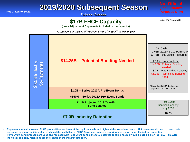#### **2019/2020 Subsequent Season**

**Preliminary Estimates**

#### **\$17B FHCF Capacity**

as of May 15, 2018

**(Loss Adjustment Expense is included in the capacity)**

Assumption: Preserved all Pre-Event Bonds after total loss in prior year



- **Represents industry losses. FHCF probabilities are lower at the top loss levels and higher at the lower loss levels. All insurers would need to reach their maximum coverage limit in order to exhaust the last billion of FHCF Coverage. Insurers can trigger coverage below the industry retention.**
- **If Pre-Event bond proceeds are used and replaced with Post-Event bonds, the total potential bonding needed would be \$15.9 billion (\$14.25B + \$1.65B).**
-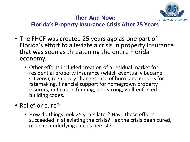

#### **Then And Now:**

#### **Florida's Property Insurance Crisis After 25 Years**

- The FHCF was created 25 years ago as one part of Florida's effort to alleviate a crisis in property insurance that was seen as threatening the entire Florida economy.
	- Other efforts included creation of a residual market for residential property insurance (which eventually became Citizens), regulatory changes, use of hurricane models for ratemaking, financial support for homegrown property insurers, mitigation funding, and strong, well-enforced building codes.
- Relief or cure?
	- How do things look 25 years later? Have these efforts succeeded in alleviating the crisis? Has the crisis been cured, or do its underlying causes persist?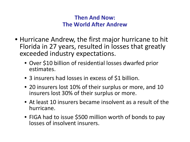- Hurricane Andrew, the first major hurricane to hit Florida in 27 years, resulted in losses that greatly exceeded industry expectations.
	- Over \$10 billion of residential losses dwarfed prior estimates.
	- 3 insurers had losses in excess of \$1 billion.
	- 20 insurers lost 10% of their surplus or more, and 10 insurers lost 30% of their surplus or more.
	- At least 10 insurers became insolvent as a result of the hurricane.
	- FIGA had to issue \$500 million worth of bonds to pay losses of insolvent insurers.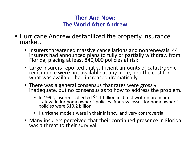- Hurricane Andrew destabilized the property insurance market.
	- Insurers threatened massive cancellations and nonrenewals. 44 insurers had announced plans to fully or partially withdraw from Florida, placing at least 840,000 policies at risk.
	- Large insurers reported that sufficient amounts of catastrophic reinsurance were not available at any price, and the cost for what was available had increased dramatically.
	- There was a general consensus that rates were grossly inadequate, but no consensus as to how to address the problem.
		- In 1992, insurers collected \$1.1 billion in direct written premium statewide for homeowners' policies. Andrew losses for homeowners' policies were \$10.2 billion.
		- Hurricane models were in their infancy, and very controversial.
	- Many insurers perceived that their continued presence in Florida was a threat to their survival.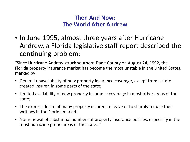• In June 1995, almost three years after Hurricane Andrew, a Florida legislative staff report described the continuing problem:

"Since Hurricane Andrew struck southern Dade County on August 24, 1992, the Florida property insurance market has become the most unstable in the United States, marked by:

- General unavailability of new property insurance coverage, except from a statecreated insurer, in some parts of the state;
- Limited availability of new property insurance coverage in most other areas of the state;
- The express desire of many property insurers to leave or to sharply reduce their writings in the Florida market;
- Nonrenewal of substantial numbers of property insurance policies, especially in the most hurricane prone areas of the state…"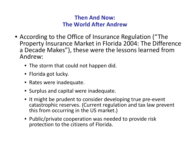- According to the Office of Insurance Regulation ("The Property Insurance Market in Florida 2004: The Difference a Decade Makes"), these were the lessons learned from Andrew:
	- The storm that could not happen did.
	- Florida got lucky.
	- Rates were inadequate.
	- Surplus and capital were inadequate.
	- It might be prudent to consider developing true pre-event catastrophic reserves. (Current regulation and tax law prevent this from occurring in the US market.)
	- Public/private cooperation was needed to provide risk protection to the citizens of Florida.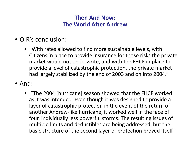- OIR's conclusion:
	- "With rates allowed to find more sustainable levels, with Citizens in place to provide insurance for those risks the private market would not underwrite, and with the FHCF in place to provide a level of catastrophic protection, the private market had largely stabilized by the end of 2003 and on into 2004."
- And:
	- "The 2004 [hurricane] season showed that the FHCF worked as it was intended. Even though it was designed to provide a layer of catastrophic protection in the event of the return of another Andrew-like hurricane, it worked well in the face of four, individually less powerful storms. The resulting issues of multiple limits and deductibles are being addressed, but the basic structure of the second layer of protection proved itself."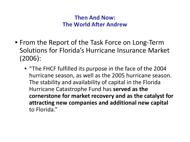- From the Report of the Task Force on Long-Term Solutions for Florida's Hurricane Insurance Market (2006):
	- "The FHCF fulfilled its purpose in the face of the 2004 hurricane season, as well as the 2005 hurricane season. The stability and availability of capital in the Florida Hurricane Catastrophe Fund has **served as the cornerstone for market recovery and as the catalyst for attracting new companies and additional new capital** to Florida."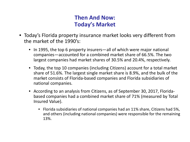#### **Then And Now: Today's Market**

- Today's Florida property insurance market looks very different from the market of the 1990's:
	- In 1995, the top 6 property insurers—all of which were major national companies—accounted for a combined market share of 66.5%. The two largest companies had market shares of 30.5% and 20.4%, respectively.
	- Today, the top 10 companies (including Citizens) account for a total market share of 51.6%. The largest single market share is 8.9%, and the bulk of the market consists of Florida-based companies and Florida subsidiaries of national companies.
	- According to an analysis from Citizens, as of September 30, 2017, Floridabased companies had a combined market share of 71% (measured by Total Insured Value).
		- Florida subsidiaries of national companies had an 11% share, Citizens had 5%, and others (including national companies) were responsible for the remaining 13%.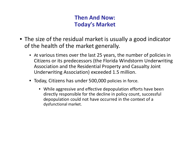#### **Then And Now: Today's Market**

- The size of the residual market is usually a good indicator of the health of the market generally.
	- At various times over the last 25 years, the number of policies in Citizens or its predecessors (the Florida Windstorm Underwriting Association and the Residential Property and Casualty Joint Underwriting Association) exceeded 1.5 million.
	- Today, Citizens has under 500,000 policies in force.
		- While aggressive and effective depopulation efforts have been directly responsible for the decline in policy count, successful depopulation could not have occurred in the context of a dysfunctional market.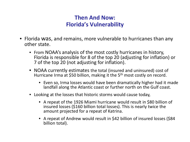#### **Then And Now: Florida's Vulnerability**

- Florida was, and remains, more vulnerable to hurricanes than any other state.
	- From NOAA's analysis of the most costly hurricanes in history, Florida is responsible for 8 of the top 20 (adjusting for inflation) or 7 of the top 20 (not adjusting for inflation).
	- NOAA currently estimates the total (insured and uninsured) cost of Hurricane Irma at \$50 billion, making it the 5<sup>th</sup> most costly on record.
		- Even so, Irma losses would have been dramatically higher had it made landfall along the Atlantic coast or further north on the Gulf coast.
	- Looking at the losses that historic storms would cause today,
		- A repeat of the 1926 Miami hurricane would result in \$80 billion of insured losses (\$160 billion total losses). This is nearly twice the amount projected for a repeat of Katrina.
		- A repeat of Andrew would result in \$42 billion of insured losses (\$84 billion total).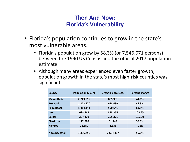#### **Then And Now: Florida's Vulnerability**

- Florida's population continues to grow in the state's most vulnerable areas.
	- Florida's population grew by 58.3% (or 7,546,071 persons) between the 1990 US Census and the official 2017 population estimate.
	- Although many areas experienced even faster growth, population growth in the state's most high-risk counties was significant.

| <b>County</b>     | Population (2017) | Growth since 1990 | Percent change |
|-------------------|-------------------|-------------------|----------------|
| <b>Miami-Dade</b> | 2,743,095         | 805,901           | 41.6%          |
| <b>Broward</b>    | 1,873,970         | 618,439           | 49.3%          |
| <b>Palm Beach</b> | 1,414,144         | 550,641           | 63.8%          |
| <b>Lee</b>        | 698,468           | 353,355           | 108.4%         |
| <b>Collier</b>    | 357,470           | 205,371           | 135.0%         |
| <b>Charlotte</b>  | 172,720           | 61,745            | 55.6%          |
| <b>Monroe</b>     | 76,889            | (1, 135)          | $-1.5%$        |
| 7-county total    | 7,336,756         | 2,604,317         | 55.0%          |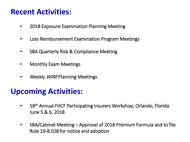#### **Recent Activities:**

- 2018 Exposure Examination Planning Meeting
- Loss Reimbursement Examination Program Meetings
- SBA Quarterly Risk & Compliance Meeting
- Monthly Exam Meetings
- Weekly *WIRE* Planning Meetings

### **Upcoming Activities:**

- 18<sup>th</sup> Annual FHCF Participating Insurers Workshop, Orlando, Florida June 5 & 6, 2018
- SBA/Cabinet Meeting Approval of 2018 Premium Formula and to file Rule 19-8.028 for notice and adoption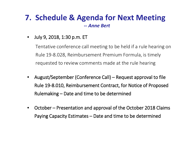#### **7. Schedule & Agenda for Next Meeting** *-- Anne Bert*

• July 9, 2018, 1:30 p.m. ET

Tentative conference call meeting to be held if a rule hearing on Rule 19-8.028, Reimbursement Premium Formula, is timely requested to review comments made at the rule hearing

- August/September (Conference Call) Request approval to file Rule 19-8.010, Reimbursement Contract, for Notice of Proposed Rulemaking – Date and time to be determined
- October Presentation and approval of the October 2018 Claims Paying Capacity Estimates – Date and time to be determined